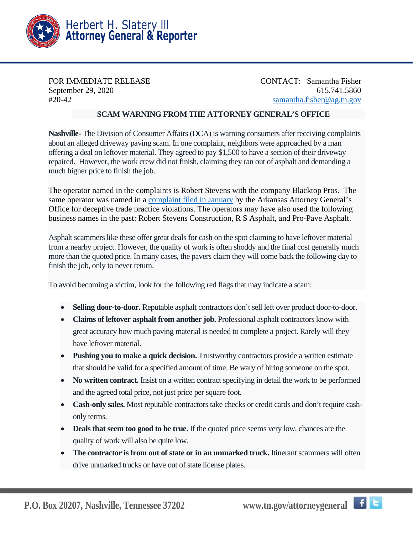

FOR IMMEDIATE RELEASE CONTACT: Samantha Fisher September 29, 2020 615.741.5860 #20-42 [samantha.fisher@ag.tn.gov](mailto:samantha.fisher@ag.tn.gov)

## **SCAM WARNING FROM THE ATTORNEY GENERAL'S OFFICE**

**Nashville-** The Division of Consumer Affairs (DCA) is warning consumers after receiving complaints about an alleged driveway paving scam. In one complaint, neighbors were approached by a man offering a deal on leftover material. They agreed to pay \$1,500 to have a section of their driveway repaired. However, the work crew did not finish, claiming they ran out of asphalt and demanding a much higher price to finish the job.

The operator named in the complaints is Robert Stevens with the company Blacktop Pros. The same operator was named in a [complaint filed in January](https://www.arkansasag.gov/site/assets/files/90096/01_15_2020_pro-pave_complaint_compressed_1.pdf) by the Arkansas Attorney General's Office for deceptive trade practice violations. The operators may have also used the following business names in the past: Robert Stevens Construction, R S Asphalt, and Pro-Pave Asphalt.

Asphalt scammers like these offer great deals for cash on the spot claiming to have leftover material from a nearby project. However, the quality of work is often shoddy and the final cost generally much more than the quoted price. In many cases, the pavers claim they will come back the following day to finish the job, only to never return.

To avoid becoming a victim, look for the following red flags that may indicate a scam:

- **Selling door-to-door.** Reputable asphalt contractors don't sell left over product door-to-door.
- **Claims of leftover asphalt from another job.** Professional asphalt contractors know with great accuracy how much paving material is needed to complete a project. Rarely will they have leftover material.
- **Pushing you to make a quick decision.** Trustworthy contractors provide a written estimate that should be valid for a specified amount of time. Be wary of hiring someone on the spot.
- **No written contract.** Insist on a written contract specifying in detail the work to be performed and the agreed total price, not just price per square foot.
- **Cash-only sales.** Most reputable contractors take checks or credit cards and don't require cashonly terms.
- **Deals that seem too good to be true.** If the quoted price seems very low, chances are the quality of work will also be quite low.
- The contractor is from out of state or in an unmarked truck. Itinerant scammers will often drive unmarked trucks or have out of state license plates.